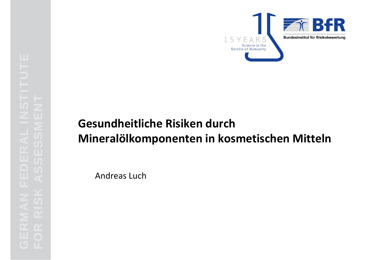

# FOR **Gesundheitliche Risiken durch<br>
Mineralölkomponenten in kosmetischen Mitteln<br>
Mineralölkomponenten in kosmetischen Mitteln<br>
Mickey<br>
Andreas Luch<br>
Andreas Luch<br>
Andreas Luch**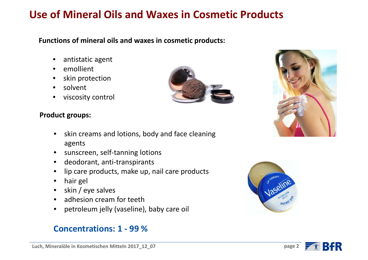# **Use of Mineral Oils and Waxes in Cosmetic Products**

### **Functions of mineral oils and waxes in cosmetic products:**

- $\bullet$ • antistatic agent
- $\bullet$ emollient
- •• skin protection
- •solvent
- $\bullet$ viscosity control



- •• skin creams and lotions, body and face cleaning agents
- sunscreen, self-tanning lotions
- deodorant, anti-transpirants
- lip care products, make up, nail care products
- hair gel
- skin / eye salves
- adhesion cream for teeth
- •petroleum jelly (vaseline), baby care oil

### **Concentrations: 1 ‐ 99 %**









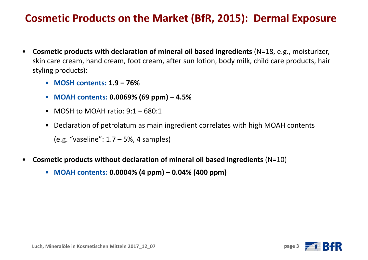# **Cosmetic Products on the Market (BfR, 2015): Dermal Exposure**

- $\bullet$  **Cosmetic products with declaration of mineral oil based ingredients** (N=18, e.g., moisturizer, skin care cream, hand cream, foot cream, after sun lotion, body milk, child care products, hair styling products):
	- **MOSH contents: 1.9 <sup>−</sup>76%**
	- **MOAH contents: 0.0069% (69 ppm) <sup>−</sup>4.5%**
	- MOSH to MOAH ratio: 9:1 <sup>−</sup>680:1
	- Declaration of petrolatum as main ingredient correlates with high MOAH contents (e.g. "vaseline": 1.7 – 5%, 4 samples)
- • **Cosmetic products without declaration of mineral oil based ingredients** (N=10)
	- **MOAH contents: 0.0004% (4 ppm) <sup>−</sup>0.04% (400 ppm)**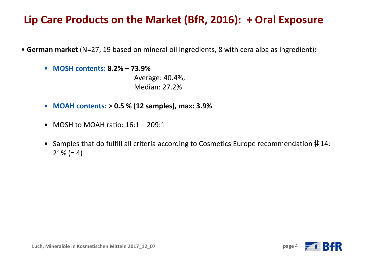# **Lip Care Products on the Market (BfR, 2016): <sup>+</sup> Oral Exposure**

- **German market** (N=27, 19 based on mineral oil ingredients, 8 with cera alba as ingredient)**:**
	- **MOSH contents: 8.2% <sup>−</sup>73.9%**

Average: 40.4%, Median: 27.2%

- **MOAH contents: > 0.5 % (12 samples), max: 3.9%**
- MOSH to MOAH raƟo: 16:1 <sup>−</sup>209:1
- Samples that do fulfill all criteria according to Cosmetics Europe recommendation#14: 21% (= 4)

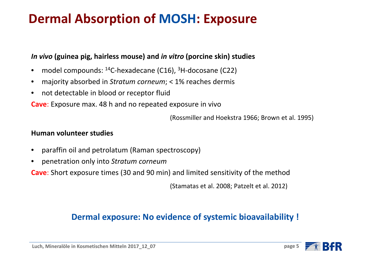# **Dermal Absorption of MOSH: Exposure**

### *In vivo* **(guinea pig, hairless mouse) and** *in vitro* **(porcine skin) studies**

- •model compounds: 14C‐hexadecane (C16), 3H‐docosane (C22)
- •majority absorbed in *Stratum corneum*; <sup>&</sup>lt; 1% reaches dermis
- •• not detectable in blood or receptor fluid
- **Cave**: Exposure max. 48 h and no repeated exposure in vivo

(Rossmiller and Hoekstra 1966; Brown et al. 1995)

### **Human volunteer studies**

- •paraffin oil and petrolatum (Raman spectroscopy)
- •penetration only into *Stratum corneum*

**Cave**: Short exposure times (30 and 90 min) and limited sensitivity of the method

(Stamatas et al. 2008; Patzelt et al. 2012)

### **Dermal exposure: No evidence of systemic bioavailability !**

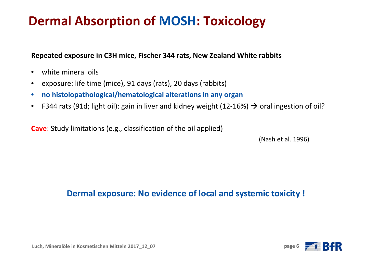# **Dermal Absorption of MOSH: Toxicology**

### **Repeated exposure in C3H mice, Fischer 344 rats, New Zealand White rabbits**

- •white mineral oils
- •exposure: life time (mice), 91 days (rats), 20 days (rabbits)
- $\bullet$ **no histolopathological/hematological alterations in any organ**
- •• F344 rats (91d; light oil): gain in liver and kidney weight (12-16%)  $\rightarrow$  oral ingestion of oil?

**Cave**: Study limitations (e.g., classification of the oil applied)

(Nash et al. 1996)

**Dermal exposure: No evidence of local and systemic toxicity !**



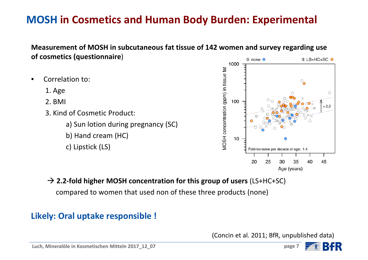# **MOSH in Cosmetics and Human Body Burden: Experimental**

### **Measurement of MOSH in subcutaneous fat tissue of 142 women and survey regarding use of cosmetics (questionnaire**)

- •**•** Correlation to:
	- 1. Age
	- 2. BMI
	- 3. Kind of Cosmetic Product:
		- a) Sun lotion during pregnancy (SC)
		- b) Hand cream (HC)
		- c) Lipstick (LS)



**2.2‐fold higher MOSH concentration for this group of users** (LS+HC+SC)

compared to women that used non of these three products (none)

# **Likely: Oral uptake responsible !**

(Concin et al. 2011; BfR, unpublished data)

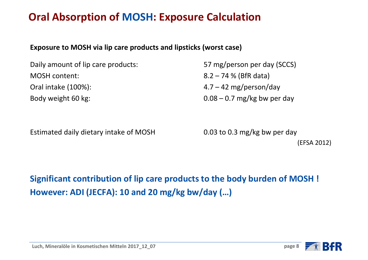# **Oral Absorption of MOSH: Exposure Calculation**

### **Exposure to MOSH via lip care products and lipsticks (worst case)**

Daily amount of lip care products: 57 mg/person per day (SCCS) MOSH content: content: 8.2 – 74 % (BfR data) Oral intakeBody weight 60 kg:  $0.08 - 0.7$  mg/kg bw per day

 $4.7 - 42$  mg/person/day

Estimated daily dietary intake of MOSH 0.03 to 0.3 mg/kg bw per day

(EFSA 2012)

**Significant contribution of lip care products to the body burden of MOSH ! However: ADI (JECFA): 10 and 20 mg/kg bw/day (…)**

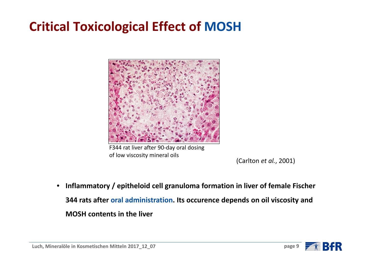# **Critical Toxicological Effect of MOSH**



F344 rat liver after 90‐day oral dosing of low viscosity mineral oils

(Carlton *et al.*, 2001)

 $\bullet$  **Inflammatory / epitheloid cell granuloma formation in liver of female Fischer 344 rats after oral administration. Its occurence depends on oil viscosity and MOSH contents in the liver**

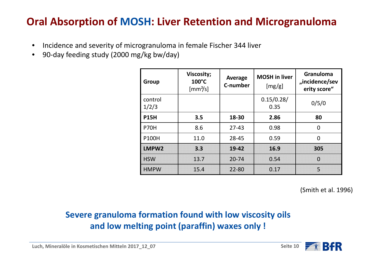# **Oral Absorption of MOSH: Liver Retention and Microgranuloma**

- •Incidence and severity of microgranuloma in female Fischer 344 liver
- •90‐day feeding study (2000 mg/kg bw/day)

| Group            | <b>Viscosity;</b><br>$100^{\circ}$ C<br>$\left[\text{mm}^2/\text{s}\right]$ | Average<br>C-number | <b>MOSH</b> in liver<br>[mg/g] | <b>Granuloma</b><br>"incidence/sev<br>erity score" |  |
|------------------|-----------------------------------------------------------------------------|---------------------|--------------------------------|----------------------------------------------------|--|
| control<br>1/2/3 |                                                                             |                     | 0.15/0.28/<br>0.35             | 0/5/0                                              |  |
| <b>P15H</b>      | 3.5                                                                         | 18-30               | 2.86                           | 80                                                 |  |
| <b>P70H</b>      | 8.6                                                                         | $27 - 43$           | 0.98                           | $\overline{0}$                                     |  |
| <b>P100H</b>     | 11.0                                                                        | 28-45               | 0.59                           | $\overline{0}$                                     |  |
| LMPW2            | 3.3                                                                         | 19-42               | 16.9                           | 305                                                |  |
| <b>HSW</b>       | 13.7                                                                        | $20 - 74$           | 0.54                           | $\overline{0}$                                     |  |
| <b>HMPW</b>      | 15.4                                                                        | 22-80               | 0.17                           | 5                                                  |  |

(Smith et al. 1996)

## **Severe granuloma formation found with low viscosity oils and low melting point (paraffin) waxes only !**

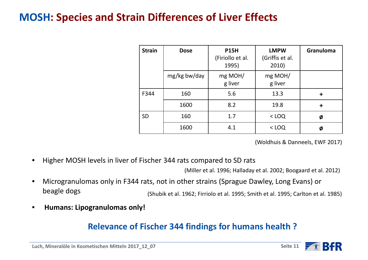# **MOSH: Species and Strain Differences of Liver Effects**

| <b>Strain</b> | <b>Dose</b>  | <b>P15H</b><br>(Firiollo et al.<br>1995) | <b>LMPW</b><br>(Griffis et al.<br>2010) | <b>Granuloma</b> |
|---------------|--------------|------------------------------------------|-----------------------------------------|------------------|
|               | mg/kg bw/day | mg MOH/<br>g liver                       | mg MOH/<br>g liver                      |                  |
| F344          | 160          | 5.6                                      | 13.3                                    | ╋                |
|               | 1600         | 8.2                                      | 19.8                                    | ╈                |
| <b>SD</b>     | 160          | 1.7                                      | $<$ LOQ                                 | Ø                |
|               | 1600         | 4.1                                      | $<$ LOQ                                 | Ø                |

(Woldhuis & Danneels, EWF 2017)

•Higher MOSH levels in liver of Fischer 344 rats compared to SD rats

(Miller et al. 1996; Halladay et al. 2002; Boogaard et al. 2012)

- • Microgranulomas only in F344 rats, not in other strains (Sprague Dawley, Long Evans) or beagle dogs (Shubik et al. 1962; Firriolo et al. 1995; Smith et al. 1995; Carlton et al. 1985)
- •**Humans: Lipogranulomas only!**

### **Relevance of Fischer 344 findings for humans health ?**

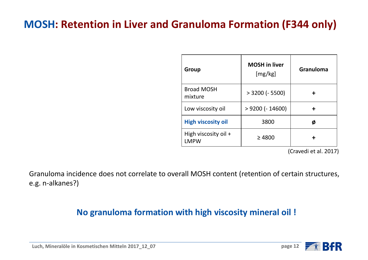# **MOSH: Retention in Liver and Granuloma Formation (F344 only)**

| Group                                 | <b>MOSH</b> in liver<br>[mg/kg] | Granuloma |  |
|---------------------------------------|---------------------------------|-----------|--|
| <b>Broad MOSH</b><br>mixture          | $> 3200$ (- 5500)               |           |  |
| Low viscosity oil                     | $> 9200$ (- 14600)              |           |  |
| <b>High viscosity oil</b>             | 3800                            | Ø         |  |
| High viscosity oil $+$<br><b>LMPW</b> | $\geq 4800$                     |           |  |

(Cravedi et al. 2017)

Granuloma incidence does not correlate to overall MOSH content (retention of certain structures, e.g. <sup>n</sup>‐alkanes?)

### **No granuloma formation with high viscosity mineral oil !**

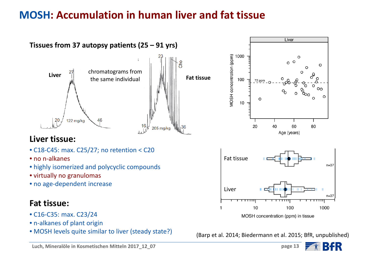# **MOSH: Accumulation in human liver and fat tissue**



**page 13**

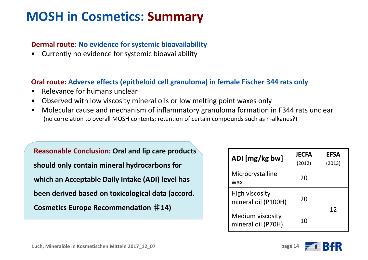# **MOSH in Cosmetics: Summary**

### **Dermal route: No evidence for systemic bioavailability**

•Currently no evidence for systemic bioavailability

### **Oral route: Adverse effects (epitheloid cell granuloma) in female Fischer 344 rats only**

- •Relevance for humans unclear
- •Observed with low viscosity mineral oils or low melting point waxes only
- • Molecular cause and mechanism of inflammatory granuloma formation in F344 rats unclear (no correlation to overall MOSH contents; retention of certain compounds such as <sup>n</sup>‐alkanes?)

**Reasonable Conclusion: Oral and lip care products should only contain mineral hydrocarbons for which an Acceptable Daily Intake (ADI) level has been derived based on toxicological data (accord. Cosmetics Europe Recommendation** ♯**14)**

| ADI [mg/kg bw]                         | <b>JECFA</b><br>(2012) | <b>EFSA</b><br>(2013) |  |
|----------------------------------------|------------------------|-----------------------|--|
| Microcrystalline<br>wax                | 20                     |                       |  |
| High viscosity<br>mineral oil (P100H)  | 20                     | 12                    |  |
| Medium viscosity<br>mineral oil (P70H) | 10                     |                       |  |

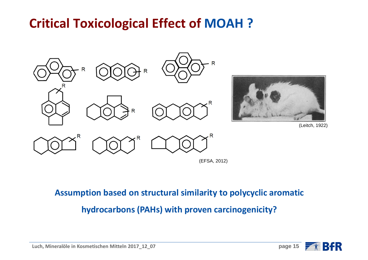# **Critical Toxicological Effect of MOAH ?**



(EFSA, 2012)

**Assumption based on structural similarity to polycyclic aromatic**

**hydrocarbons (PAHs) with proven carcinogenicity?**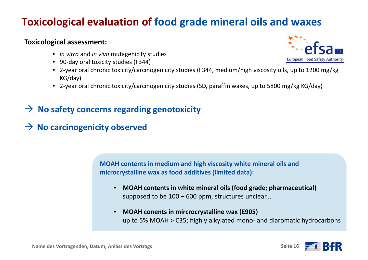# **Toxicological evaluation of food grade mineral oils and waxes**

### **Toxicological assessment:**

- *in vitro* and *in vivo* mutagenicity studies
- 90-day oral toxicity studies (F344)
- 2‐year oral chronic toxicity/carcinogenicity studies (F344, medium/high viscosity oils, up to 1200 mg/kg KG/day)
- 2‐year oral chronic toxicity/carcinogenicity studies (SD, paraffin waxes, up to 5800 mg/kg KG/day)
- **No safety concerns regarding genotoxicity**
- **No carcinogenicity observed**

**MOAH contents in medium and high viscosity white mineral oils and microcrystalline wax as food additives (limited data):**

- **MOAH contents in white mineral oils (food grade; pharmaceutical)** supposed to be 100 – 600 ppm, structures unclear...
- • **MOAH conents in mircrocrystalline wax (E905)** up to 5% MOAH <sup>&</sup>gt; C35; highly alkylated mono‐ and diaromatic hydrocarbons





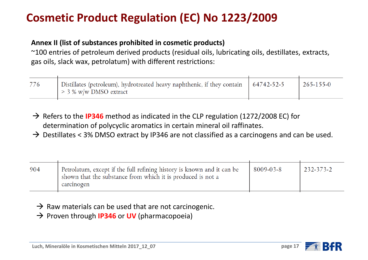# **Cosmetic Product Regulation (EC) No 1223/2009**

### **Annex II (list of substances prohibited in cosmetic products)**

 $^{\thicksim}$ 100 entries of petroleum derived products (residual oils, lubricating oils, destillates, extracts, gas oils, slack wax, petrolatum) with different restrictions:

| Distillates (petroleum), hydrotreated heavy naphthenic, if they contain   64742-52-5<br>$>$ 3 % w/w DMSO extract | $265 - 155 - 0$ |
|------------------------------------------------------------------------------------------------------------------|-----------------|
|                                                                                                                  |                 |

→ Refers to the **IP346** method as indicated in the CLP regulation (1272/2008 EC) for determination of polycyclic aromatics in certain mineral oil raffinates.

 $\rightarrow$  Destillates < 3% DMSO extract by IP346 are not classified as a carcinogens and can be used.

| 904 | Petrolatum, except if the full refining history is known and it can be<br>shown that the substance from which it is produced is not a<br>carcinogen | 8009-03-8 | $232 - 373 - 2$ |
|-----|-----------------------------------------------------------------------------------------------------------------------------------------------------|-----------|-----------------|
|-----|-----------------------------------------------------------------------------------------------------------------------------------------------------|-----------|-----------------|

- $\rightarrow$  Raw materials can be used that are not carcinogenic.
- → Proven through **IP346** or UV (pharmacopoeia)



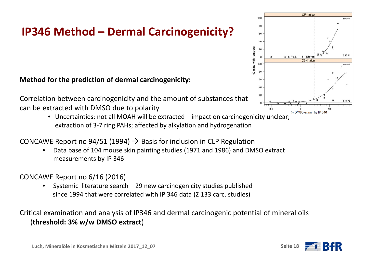# **IP346 Method – Dermal Carcinogenicity?**

**Method for the prediction of dermal carcinogenicity:**

Correlation between carcinogenicity and the amount of substances that can be extracted with DMSO due to polarity

> • Uncertainties: not all MOAH will be extracted – impact on carcinogenicity unclear; extraction of 3‐7 ring PAHs; affected by alkylation and hydrogenation

CONCAWE Report no 94/51 (1994)  $\rightarrow$  Basis for inclusion in CLP Regulation

• Data base of 104 mouse skin painting studies (1971 and 1986) and DMSO extract measurements by IP 346

CONCAWE Report no 6/16 (2016)

• Systemic literature search – 29 new carcinogenicity studies published since 1994 that were correlated with IP 346 data (Σ 133 carc. studies)

Critical examination and analysis of IP346 and dermal carcinogenic potential of mineral oils (**threshold: 3% w/w DMSO extract**)



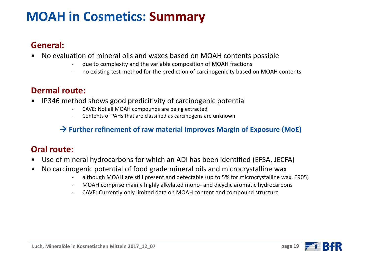# **MOAH in Cosmetics: Summary**

### **General:**

- • No evaluation of mineral oils and waxes based on MOAH contents possible
	- ‐due to complexity and the variable composition of MOAH fractions
	- no existing test method for the prediction of carcinogenicity based on MOAH contents

### **Dermal route:**

- • IP346 method shows good predicitivity of carcinogenic potential
	- CAVE: Not all MOAH compounds are being extracted
	- ‐Contents of PAHs that are classified as carcinogens are unknown

### **Further refinement of raw material improves Margin of Exposure (MoE)**

### **Oral route:**

- •Use of mineral hydrocarbons for which an ADI has been identified (EFSA, JECFA)
- • No carcinogenic potential of food grade mineral oils and microcrystalline wax
	- although MOAH are still present and detectable (up to 5% for microcrystalline wax, E905)
	- ‐MOAH comprise mainly highly alkylated mono‐ and dicyclic aromatic hydrocarbons
	- ‐CAVE: Currently only limited data on MOAH content and compound structure

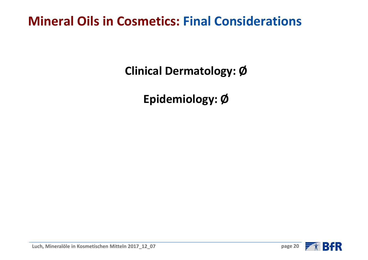# **Mineral Oils in Cosmetics: Final Considerations**

**Clinical Dermatology: Ø**

**Epidemiology: Ø**